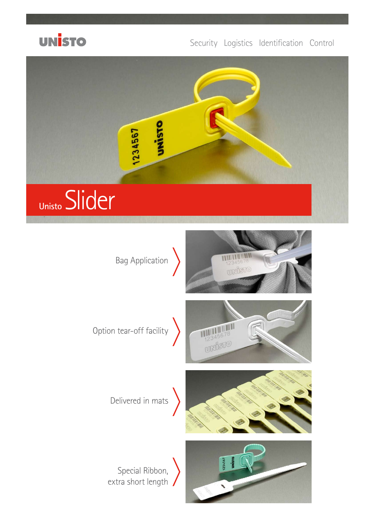

## Security Logistics Identification Control